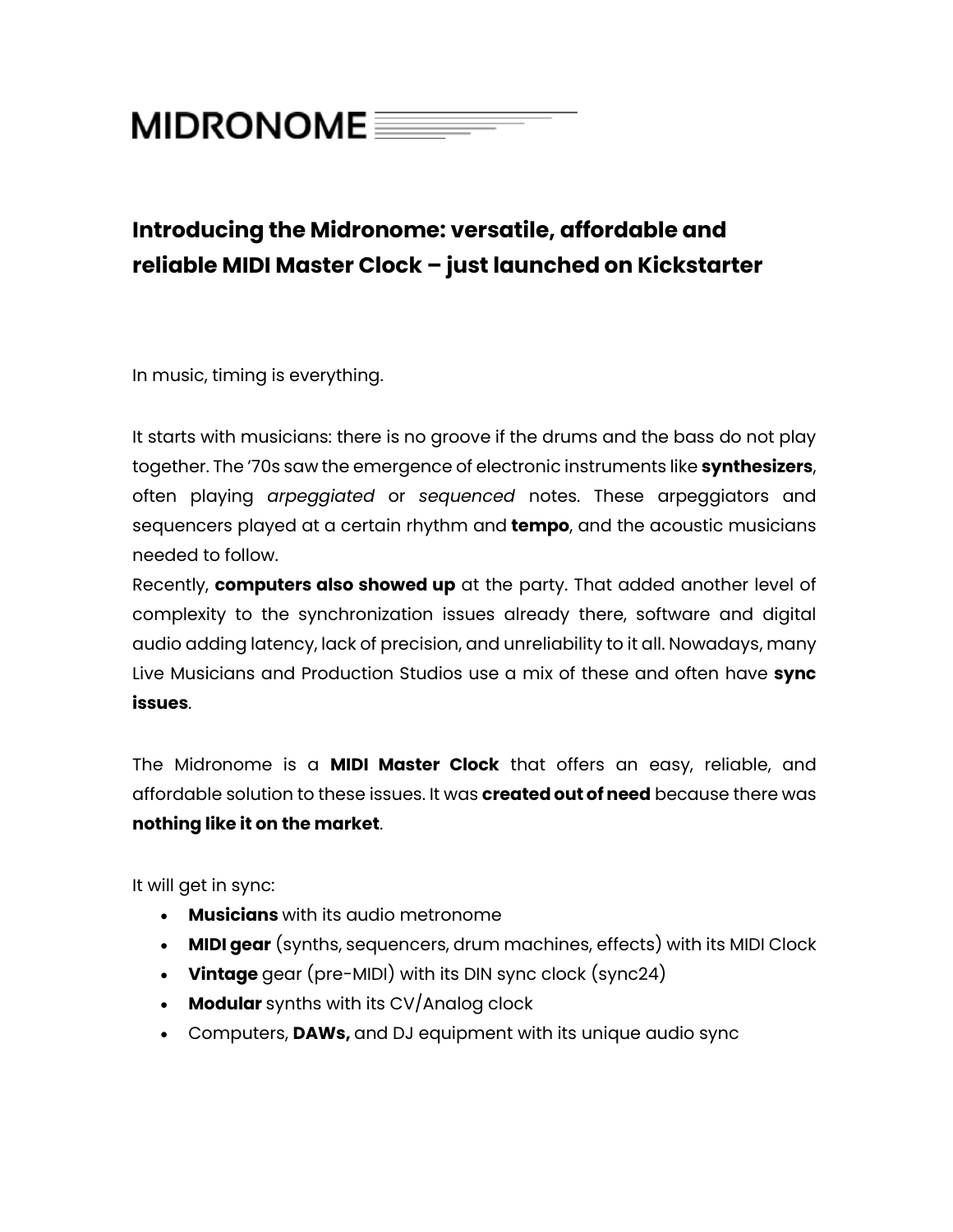## **MIDRONOME**

## **Introducing the Midronome: versatile, affordable and reliable MIDI Master Clock – just launched on Kickstarter**

In music, timing is everything.

It starts with musicians: there is no groove if the drums and the bass do not play together. The '70s saw the emergence of electronic instruments like **synthesizers**, often playing *arpeggiated* or *sequenced* notes. These arpeggiators and sequencers played at a certain rhythm and **tempo**, and the acoustic musicians needed to follow.

Recently, **computers also showed up** at the party. That added another level of complexity to the synchronization issues already there, software and digital audio adding latency, lack of precision, and unreliability to it all. Nowadays, many Live Musicians and Production Studios use a mix of these and often have **sync issues**.

The Midronome is a **MIDI Master Clock** that offers an easy, reliable, and affordable solution to these issues. It was **created out of need** because there was **nothing like it on the market**.

It will get in sync:

- **Musicians** with its audio metronome
- **MIDI gear** (synths, sequencers, drum machines, effects) with its MIDI Clock
- **Vintage** gear (pre-MIDI) with its DIN sync clock (sync24)
- **Modular** synths with its CV/Analog clock
- Computers, **DAWs,** and DJ equipment with its unique audio sync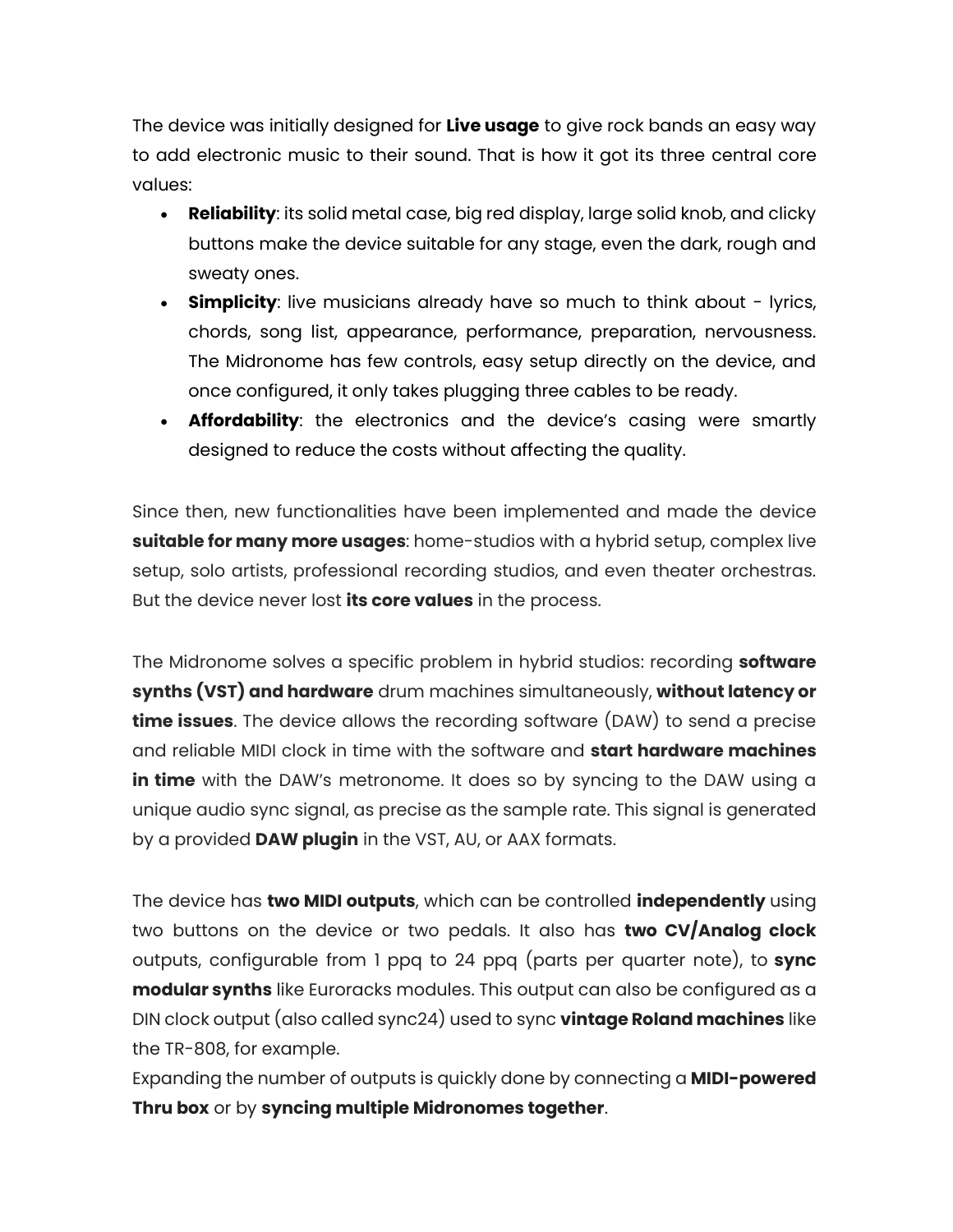The device was initially designed for **Live usage** to give rock bands an easy way to add electronic music to their sound. That is how it got its three central core values:

- **Reliability**: its solid metal case, big red display, large solid knob, and clicky buttons make the device suitable for any stage, even the dark, rough and sweaty ones.
- **Simplicity**: live musicians already have so much to think about lyrics, chords, song list, appearance, performance, preparation, nervousness. The Midronome has few controls, easy setup directly on the device, and once configured, it only takes plugging three cables to be ready.
- **Affordability**: the electronics and the device's casing were smartly designed to reduce the costs without affecting the quality.

Since then, new functionalities have been implemented and made the device **suitable for many more usages**: home-studios with a hybrid setup, complex live setup, solo artists, professional recording studios, and even theater orchestras. But the device never lost **its core values** in the process.

The Midronome solves a specific problem in hybrid studios: recording **software synths (VST) and hardware** drum machines simultaneously, **without latency or time issues**. The device allows the recording software (DAW) to send a precise and reliable MIDI clock in time with the software and **start hardware machines in time** with the DAW's metronome. It does so by syncing to the DAW using a unique audio sync signal, as precise as the sample rate. This signal is generated by a provided **DAW plugin** in the VST, AU, or AAX formats.

The device has **two MIDI outputs**, which can be controlled **independently** using two buttons on the device or two pedals. It also has **two CV/Analog clock** outputs, configurable from 1 ppq to 24 ppq (parts per quarter note), to **sync modular synths** like Euroracks modules. This output can also be configured as a DIN clock output (also called sync24) used to sync **vintage Roland machines** like the TR-808, for example.

Expanding the number of outputs is quickly done by connecting a **MIDI-powered Thru box** or by **syncing multiple Midronomes together**.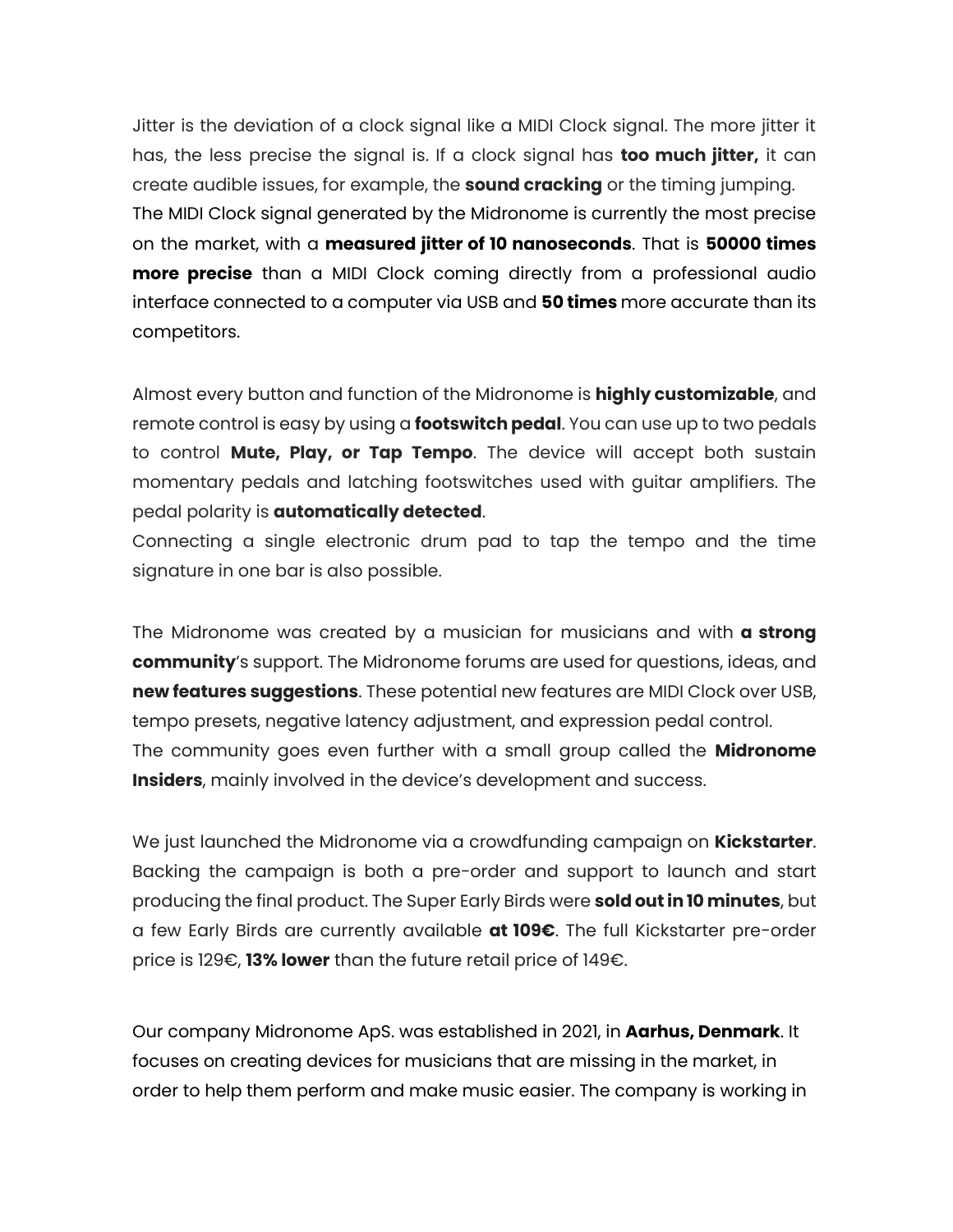Jitter is the deviation of a clock signal like a MIDI Clock signal. The more jitter it has, the less precise the signal is. If a clock signal has **too much jitter,** it can create audible issues, for example, the **sound cracking** or the timing jumping. The MIDI Clock signal generated by the Midronome is currently the most precise on the market, with a **measured jitter of 10 nanoseconds**. That is **50000 times more precise** than a MIDI Clock coming directly from a professional audio interface connected to a computer via USB and **50 times** more accurate than its competitors.

Almost every button and function of the Midronome is **highly customizable**, and remote control is easy by using a **footswitch pedal**. You can use up to two pedals to control **Mute, Play, or Tap Tempo**. The device will accept both sustain momentary pedals and latching footswitches used with guitar amplifiers. The pedal polarity is **automatically detected**.

Connecting a single electronic drum pad to tap the tempo and the time signature in one bar is also possible.

The Midronome was created by a musician for musicians and with **a strong community**'s support. The Midronome forums are used for questions, ideas, and **new features suggestions**. These potential new features are MIDI Clock over USB, tempo presets, negative latency adjustment, and expression pedal control. The community goes even further with a small group called the **Midronome Insiders**, mainly involved in the device's development and success.

We just launched the Midronome via a crowdfunding campaign on **Kickstarter**. Backing the campaign is both a pre-order and support to launch and start producing the final product. The Super Early Birds were **sold out in 10 minutes**, but a few Early Birds are currently available **at 109€**. The full Kickstarter pre-order price is 129€, **13% lower** than the future retail price of 149€.

Our company Midronome ApS. was established in 2021, in **Aarhus, Denmark**. It focuses on creating devices for musicians that are missing in the market, in order to help them perform and make music easier. The company is working in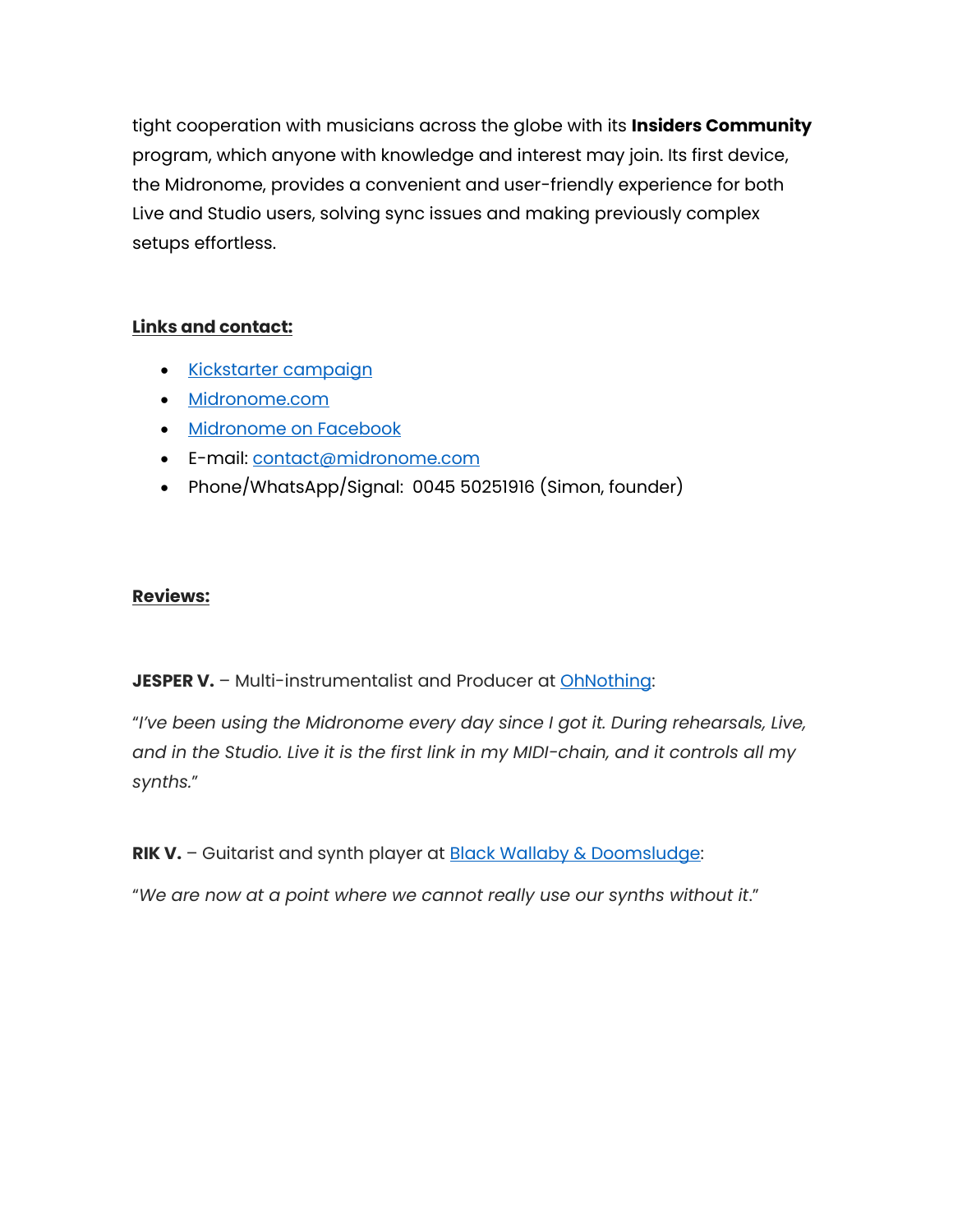tight cooperation with musicians across the globe with its **Insiders Community** program, which anyone with knowledge and interest may join. Its first device, the Midronome, provides a convenient and user-friendly experience for both Live and Studio users, solving sync issues and making previously complex setups effortless.

## **Links and contact:**

- [Kickstarter](https://www.kickstarter.com/projects/midronome/midronome-effortless-midi-synchronization?ref=1wa264) campaign
- [Midronome.com](https://www.midronome.com/)
- **[Midronome on](https://www.facebook.com/midronome/) Facebook**
- E-mail: [contact@midronome.com](mailto:contact@midronome.com)
- Phone/WhatsApp/Signal: 0045 50251916 (Simon, founder)

## **Reviews:**

**JESPER V.** - Multi-instrumentalist and Producer at **[OhNothing:](https://youtu.be/NXaHcMTCTVs?t=10)** 

"*I've been using the Midronome every day since I got it. During rehearsals, Live, and in the Studio. Live it is the first link in my MIDI-chain, and it controls all my synths.*"

**RIK V.** – Guitarist and synth player at [Black Wallaby & Doomsludge:](https://www.instagram.com/blackwallaby.doomsludge)

"*We are now at a point where we cannot really use our synths without it*."